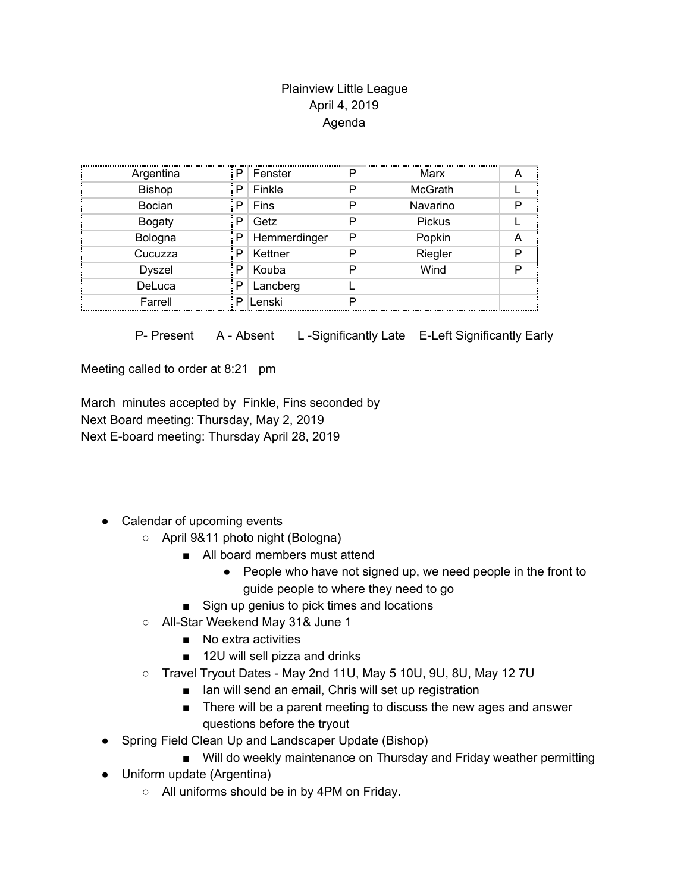## Plainview Little League April 4, 2019 Agenda

| Argentina     | P | Fenster      | P | Marx          |  |
|---------------|---|--------------|---|---------------|--|
| <b>Bishop</b> | P | Finkle       | P | McGrath       |  |
| Bocian        | P | Fins         | P | Navarino      |  |
| <b>Bogaty</b> | P | Getz         | P | <b>Pickus</b> |  |
| Bologna       | P | Hemmerdinger | P | Popkin        |  |
| Cucuzza       | P | Kettner      | P | Riegler       |  |
| <b>Dyszel</b> | P | Kouba        | P | Wind          |  |
| DeLuca        | P | Lancberg     |   |               |  |
| Farrell       | P | Lenski       | P |               |  |

P- Present A - Absent L-Significantly Late E-Left Significantly Early

Meeting called to order at 8:21 pm

March minutes accepted by Finkle, Fins seconded by Next Board meeting: Thursday, May 2, 2019 Next E-board meeting: Thursday April 28, 2019

- Calendar of upcoming events
	- April 9&11 photo night (Bologna)
		- All board members must attend
			- People who have not signed up, we need people in the front to guide people to where they need to go
		- Sign up genius to pick times and locations
	- All-Star Weekend May 31& June 1
		- No extra activities
		- 12U will sell pizza and drinks
	- Travel Tryout Dates May 2nd 11U, May 5 10U, 9U, 8U, May 12 7U
		- Ian will send an email, Chris will set up registration
		- There will be a parent meeting to discuss the new ages and answer questions before the tryout
- Spring Field Clean Up and Landscaper Update (Bishop)
	- Will do weekly maintenance on Thursday and Friday weather permitting
- Uniform update (Argentina)
	- All uniforms should be in by 4PM on Friday.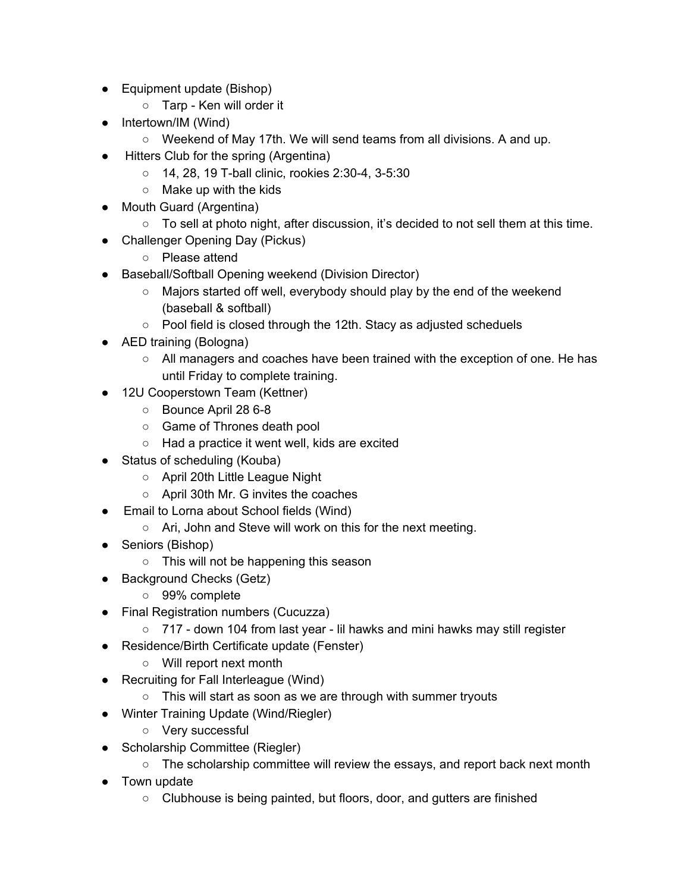- Equipment update (Bishop)
	- Tarp Ken will order it
- Intertown/IM (Wind)
	- Weekend of May 17th. We will send teams from all divisions. A and up.
- Hitters Club for the spring (Argentina)
	- 14, 28, 19 T-ball clinic, rookies 2:30-4, 3-5:30
	- $\circ$  Make up with the kids
- Mouth Guard (Argentina)
	- $\circ$  To sell at photo night, after discussion, it's decided to not sell them at this time.
- Challenger Opening Day (Pickus)
	- Please attend
- Baseball/Softball Opening weekend (Division Director)
	- Majors started off well, everybody should play by the end of the weekend (baseball & softball)
	- Pool field is closed through the 12th. Stacy as adjusted scheduels
- AED training (Bologna)
	- All managers and coaches have been trained with the exception of one. He has until Friday to complete training.
- 12U Cooperstown Team (Kettner)
	- Bounce April 28 6-8
	- Game of Thrones death pool
	- Had a practice it went well, kids are excited
- Status of scheduling (Kouba)
	- April 20th Little League Night
	- April 30th Mr. G invites the coaches
- Email to Lorna about School fields (Wind)
	- Ari, John and Steve will work on this for the next meeting.
- Seniors (Bishop)
	- This will not be happening this season
- Background Checks (Getz)
	- 99% complete
- Final Registration numbers (Cucuzza)
	- 717 down 104 from last year lil hawks and mini hawks may still register
- Residence/Birth Certificate update (Fenster)
	- Will report next month
- Recruiting for Fall Interleague (Wind)
	- This will start as soon as we are through with summer tryouts
- Winter Training Update (Wind/Riegler)
	- Very successful
- Scholarship Committee (Riegler)
	- $\circ$  The scholarship committee will review the essays, and report back next month
- Town update
	- Clubhouse is being painted, but floors, door, and gutters are finished